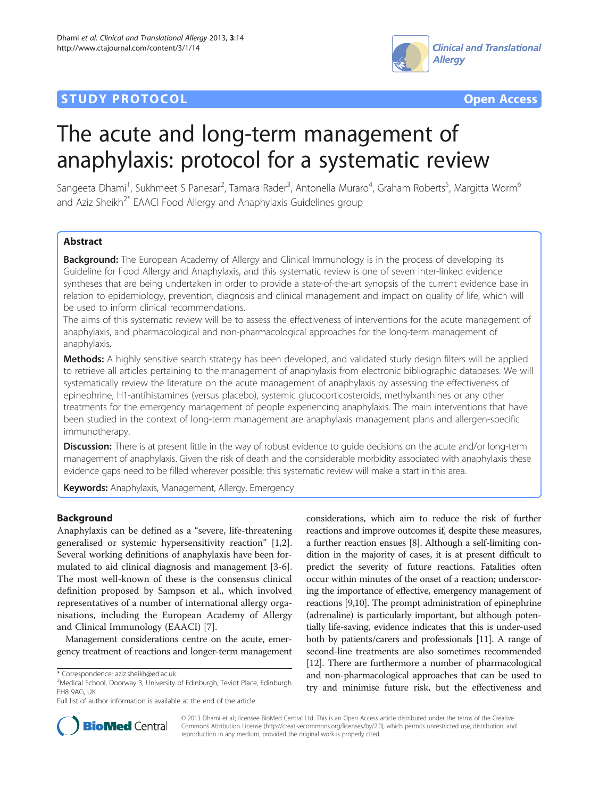## **STUDY PROTOCOL CONSUMING THE CONSUMING TO A RESERVE A** CONSUMING THE CONSUMING THE CONSUMING THE CONSUMING THE CONSUMING THE CONSUMING THE CONSUMING THE CONSUMING THE CONSUMING THE CONSUMING THE CONSUMING THE CONSUMING





# The acute and long-term management of anaphylaxis: protocol for a systematic review

Sangeeta Dhami<sup>1</sup>, Sukhmeet S Panesar<sup>2</sup>, Tamara Rader<sup>3</sup>, Antonella Muraro<sup>4</sup>, Graham Roberts<sup>5</sup>, Margitta Worm<sup>6</sup> and Aziz Sheikh<sup>2\*</sup> EAACI Food Allergy and Anaphylaxis Guidelines group

## **Abstract**

**Background:** The European Academy of Allergy and Clinical Immunology is in the process of developing its Guideline for Food Allergy and Anaphylaxis, and this systematic review is one of seven inter-linked evidence syntheses that are being undertaken in order to provide a state-of-the-art synopsis of the current evidence base in relation to epidemiology, prevention, diagnosis and clinical management and impact on quality of life, which will be used to inform clinical recommendations.

The aims of this systematic review will be to assess the effectiveness of interventions for the acute management of anaphylaxis, and pharmacological and non-pharmacological approaches for the long-term management of anaphylaxis.

Methods: A highly sensitive search strategy has been developed, and validated study design filters will be applied to retrieve all articles pertaining to the management of anaphylaxis from electronic bibliographic databases. We will systematically review the literature on the acute management of anaphylaxis by assessing the effectiveness of epinephrine, H1-antihistamines (versus placebo), systemic glucocorticosteroids, methylxanthines or any other treatments for the emergency management of people experiencing anaphylaxis. The main interventions that have been studied in the context of long-term management are anaphylaxis management plans and allergen-specific immunotherapy.

**Discussion:** There is at present little in the way of robust evidence to quide decisions on the acute and/or long-term management of anaphylaxis. Given the risk of death and the considerable morbidity associated with anaphylaxis these evidence gaps need to be filled wherever possible; this systematic review will make a start in this area.

Keywords: Anaphylaxis, Management, Allergy, Emergency

## Background

Anaphylaxis can be defined as a "severe, life-threatening generalised or systemic hypersensitivity reaction" [\[1,2](#page-3-0)]. Several working definitions of anaphylaxis have been formulated to aid clinical diagnosis and management [[3-6](#page-3-0)]. The most well-known of these is the consensus clinical definition proposed by Sampson et al., which involved representatives of a number of international allergy organisations, including the European Academy of Allergy and Clinical Immunology (EAACI) [[7\]](#page-3-0).

Management considerations centre on the acute, emergency treatment of reactions and longer-term management

Full list of author information is available at the end of the article

considerations, which aim to reduce the risk of further reactions and improve outcomes if, despite these measures, a further reaction ensues [[8\]](#page-3-0). Although a self-limiting condition in the majority of cases, it is at present difficult to predict the severity of future reactions. Fatalities often occur within minutes of the onset of a reaction; underscoring the importance of effective, emergency management of reactions [\[9,10](#page-3-0)]. The prompt administration of epinephrine (adrenaline) is particularly important, but although potentially life-saving, evidence indicates that this is under-used both by patients/carers and professionals [[11](#page-3-0)]. A range of second-line treatments are also sometimes recommended [[12](#page-3-0)]. There are furthermore a number of pharmacological and non-pharmacological approaches that can be used to try and minimise future risk, but the effectiveness and



© 2013 Dhami et al.; licensee BioMed Central Ltd. This is an Open Access article distributed under the terms of the Creative Commons Attribution License [\(http://creativecommons.org/licenses/by/2.0\)](http://creativecommons.org/licenses/by/2.0), which permits unrestricted use, distribution, and reproduction in any medium, provided the original work is properly cited.

<sup>\*</sup> Correspondence: aziz.sheikh@ed.ac.uk

<sup>&</sup>lt;sup>2</sup>Medical School, Doorway 3, University of Edinburgh, Teviot Place, Edinburgh EH8 9AG, UK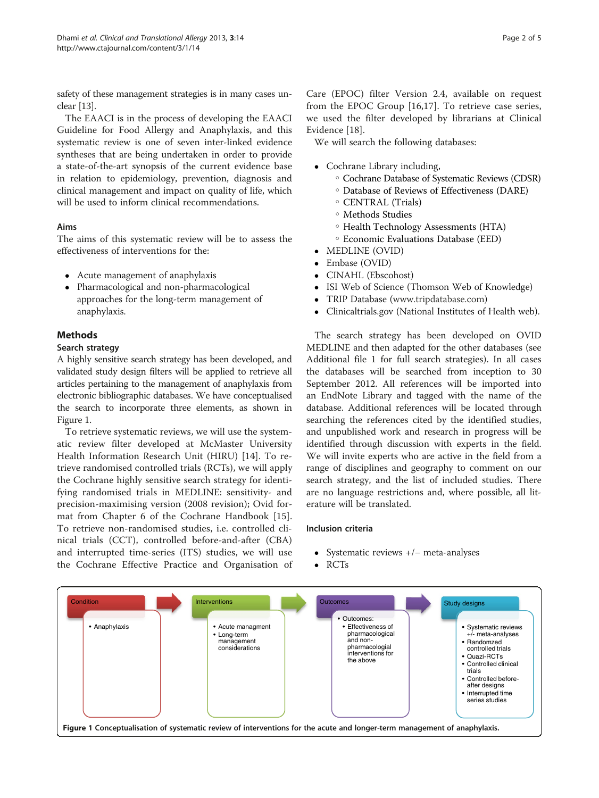safety of these management strategies is in many cases unclear [\[13\]](#page-3-0).

The EAACI is in the process of developing the EAACI Guideline for Food Allergy and Anaphylaxis, and this systematic review is one of seven inter-linked evidence syntheses that are being undertaken in order to provide a state-of-the-art synopsis of the current evidence base in relation to epidemiology, prevention, diagnosis and clinical management and impact on quality of life, which will be used to inform clinical recommendations.

## Aims

The aims of this systematic review will be to assess the effectiveness of interventions for the:

- Acute management of anaphylaxis
- Pharmacological and non-pharmacological approaches for the long-term management of anaphylaxis.

## Methods

## Search strategy

A highly sensitive search strategy has been developed, and validated study design filters will be applied to retrieve all articles pertaining to the management of anaphylaxis from electronic bibliographic databases. We have conceptualised the search to incorporate three elements, as shown in Figure 1.

To retrieve systematic reviews, we will use the systematic review filter developed at McMaster University Health Information Research Unit (HIRU) [[14\]](#page-3-0). To retrieve randomised controlled trials (RCTs), we will apply the Cochrane highly sensitive search strategy for identifying randomised trials in MEDLINE: sensitivity- and precision-maximising version (2008 revision); Ovid format from Chapter 6 of the Cochrane Handbook [\[15](#page-3-0)]. To retrieve non-randomised studies, i.e. controlled clinical trials (CCT), controlled before-and-after (CBA) and interrupted time-series (ITS) studies, we will use the Cochrane Effective Practice and Organisation of Care (EPOC) filter Version 2.4, available on request from the EPOC Group [\[16](#page-3-0)[,17](#page-4-0)]. To retrieve case series, we used the filter developed by librarians at Clinical Evidence [[18\]](#page-4-0).

We will search the following databases:

- Cochrane Library including,
	- Cochrane Database of Systematic Reviews (CDSR)
	- Database of Reviews of Effectiveness (DARE)
	- CENTRAL (Trials)
	- Methods Studies
	- Health Technology Assessments (HTA)
	- Economic Evaluations Database (EED)
- MEDLINE (OVID)
- Embase (OVID)
- CINAHL (Ebscohost)
- ISI Web of Science (Thomson Web of Knowledge)
- TRIP Database ([www.tripdatabase.com\)](http://www.tripdatabase.com/)
- Clinicaltrials.gov (National Institutes of Health web).

The search strategy has been developed on OVID MEDLINE and then adapted for the other databases (see Additional file [1](#page-3-0) for full search strategies). In all cases the databases will be searched from inception to 30 September 2012. All references will be imported into an EndNote Library and tagged with the name of the database. Additional references will be located through searching the references cited by the identified studies, and unpublished work and research in progress will be identified through discussion with experts in the field. We will invite experts who are active in the field from a range of disciplines and geography to comment on our search strategy, and the list of included studies. There are no language restrictions and, where possible, all literature will be translated.

#### Inclusion criteria

- Systematic reviews +/− meta-analyses
- RCTs

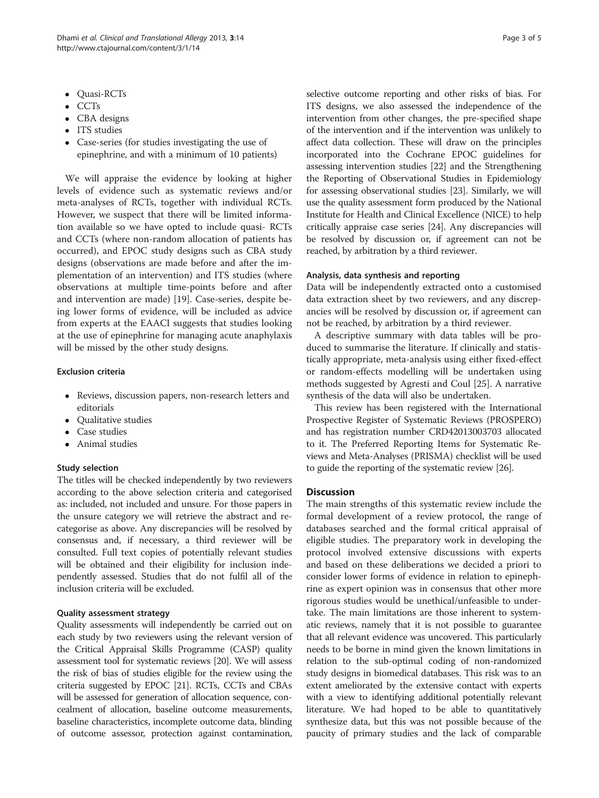- Quasi-RCTs
- CCTs
- CBA designs
- ITS studies
- Case-series (for studies investigating the use of epinephrine, and with a minimum of 10 patients)

We will appraise the evidence by looking at higher levels of evidence such as systematic reviews and/or meta-analyses of RCTs, together with individual RCTs. However, we suspect that there will be limited information available so we have opted to include quasi- RCTs and CCTs (where non-random allocation of patients has occurred), and EPOC study designs such as CBA study designs (observations are made before and after the implementation of an intervention) and ITS studies (where observations at multiple time-points before and after and intervention are made) [[19\]](#page-4-0). Case-series, despite being lower forms of evidence, will be included as advice from experts at the EAACI suggests that studies looking at the use of epinephrine for managing acute anaphylaxis will be missed by the other study designs.

## Exclusion criteria

- Reviews, discussion papers, non-research letters and editorials
- Qualitative studies
- Case studies
- Animal studies

### Study selection

The titles will be checked independently by two reviewers according to the above selection criteria and categorised as: included, not included and unsure. For those papers in the unsure category we will retrieve the abstract and recategorise as above. Any discrepancies will be resolved by consensus and, if necessary, a third reviewer will be consulted. Full text copies of potentially relevant studies will be obtained and their eligibility for inclusion independently assessed. Studies that do not fulfil all of the inclusion criteria will be excluded.

#### Quality assessment strategy

Quality assessments will independently be carried out on each study by two reviewers using the relevant version of the Critical Appraisal Skills Programme (CASP) quality assessment tool for systematic reviews [\[20\]](#page-4-0). We will assess the risk of bias of studies eligible for the review using the criteria suggested by EPOC [[21](#page-4-0)]. RCTs, CCTs and CBAs will be assessed for generation of allocation sequence, concealment of allocation, baseline outcome measurements, baseline characteristics, incomplete outcome data, blinding of outcome assessor, protection against contamination, selective outcome reporting and other risks of bias. For ITS designs, we also assessed the independence of the intervention from other changes, the pre-specified shape of the intervention and if the intervention was unlikely to affect data collection. These will draw on the principles incorporated into the Cochrane EPOC guidelines for assessing intervention studies [\[22\]](#page-4-0) and the Strengthening the Reporting of Observational Studies in Epidemiology for assessing observational studies [\[23](#page-4-0)]. Similarly, we will use the quality assessment form produced by the National Institute for Health and Clinical Excellence (NICE) to help critically appraise case series [[24](#page-4-0)]. Any discrepancies will be resolved by discussion or, if agreement can not be reached, by arbitration by a third reviewer.

#### Analysis, data synthesis and reporting

Data will be independently extracted onto a customised data extraction sheet by two reviewers, and any discrepancies will be resolved by discussion or, if agreement can not be reached, by arbitration by a third reviewer.

A descriptive summary with data tables will be produced to summarise the literature. If clinically and statistically appropriate, meta-analysis using either fixed-effect or random-effects modelling will be undertaken using methods suggested by Agresti and Coul [\[25](#page-4-0)]. A narrative synthesis of the data will also be undertaken.

This review has been registered with the International Prospective Register of Systematic Reviews (PROSPERO) and has registration number CRD42013003703 allocated to it. The Preferred Reporting Items for Systematic Reviews and Meta-Analyses (PRISMA) checklist will be used to guide the reporting of the systematic review [\[26\]](#page-4-0).

## **Discussion**

The main strengths of this systematic review include the formal development of a review protocol, the range of databases searched and the formal critical appraisal of eligible studies. The preparatory work in developing the protocol involved extensive discussions with experts and based on these deliberations we decided a priori to consider lower forms of evidence in relation to epinephrine as expert opinion was in consensus that other more rigorous studies would be unethical/unfeasible to undertake. The main limitations are those inherent to systematic reviews, namely that it is not possible to guarantee that all relevant evidence was uncovered. This particularly needs to be borne in mind given the known limitations in relation to the sub-optimal coding of non-randomized study designs in biomedical databases. This risk was to an extent ameliorated by the extensive contact with experts with a view to identifying additional potentially relevant literature. We had hoped to be able to quantitatively synthesize data, but this was not possible because of the paucity of primary studies and the lack of comparable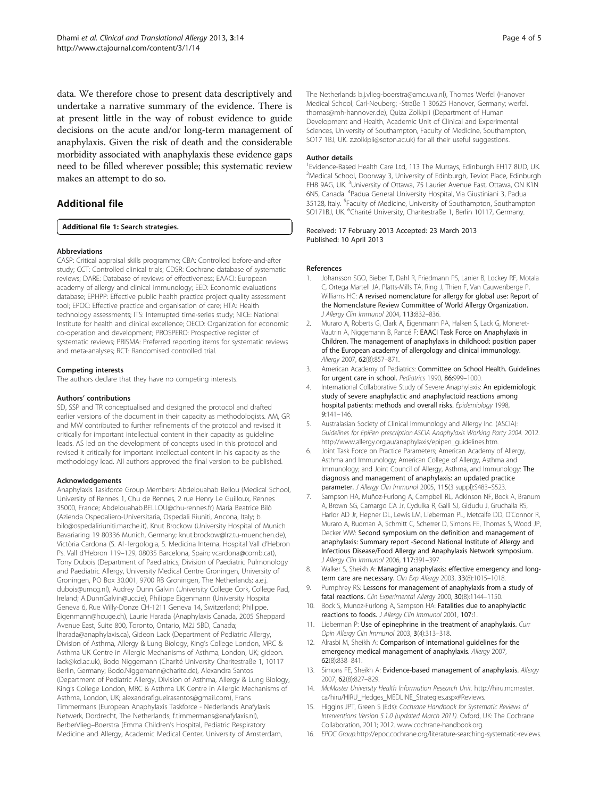<span id="page-3-0"></span>data. We therefore chose to present data descriptively and undertake a narrative summary of the evidence. There is at present little in the way of robust evidence to guide decisions on the acute and/or long-term management of anaphylaxis. Given the risk of death and the considerable morbidity associated with anaphylaxis these evidence gaps need to be filled wherever possible; this systematic review makes an attempt to do so.

## Additional file

#### [Additional file 1:](http://www.biomedcentral.com/content/supplementary/2045-7022-3-14-S1.docx) Search strategies.

#### Abbreviations

CASP: Critical appraisal skills programme; CBA: Controlled before-and-after study; CCT: Controlled clinical trials; CDSR: Cochrane database of systematic reviews; DARE: Database of reviews of effectiveness; EAACI: European academy of allergy and clinical immunology; EED: Economic evaluations database; EPHPP: Effective public health practice project quality assessment tool; EPOC: Effective practice and organisation of care; HTA: Health technology assessments; ITS: Interrupted time-series study; NICE: National Institute for health and clinical excellence; OECD: Organization for economic co-operation and development; PROSPERO: Prospective register of systematic reviews; PRISMA: Preferred reporting items for systematic reviews and meta-analyses; RCT: Randomised controlled trial.

#### Competing interests

The authors declare that they have no competing interests.

#### Authors' contributions

SD, SSP and TR conceptualised and designed the protocol and drafted earlier versions of the document in their capacity as methodologists. AM, GR and MW contributed to further refinements of the protocol and revised it critically for important intellectual content in their capacity as guideline leads. AS led on the development of concepts used in this protocol and revised it critically for important intellectual content in his capacity as the methodology lead. All authors approved the final version to be published.

#### Acknowledgements

Anaphylaxis Taskforce Group Members: Abdelouahab Bellou (Medical School, University of Rennes 1, Chu de Rennes, 2 rue Henry Le Guilloux, Rennes 35000, France; Abdelouahab.BELLOU@chu-rennes.fr) Maria Beatrice Bilò (Azienda Ospedaliero-Universitaria, Ospedali Riuniti, Ancona, Italy; b. bilo@ospedaliriuniti.marche.it), Knut Brockow (University Hospital of Munich Bavariaring 19 80336 Munich, Germany; knut.brockow@lrz.tu-muenchen.de), Victòria Cardona (S. Al · lergologia, S. Medicina Interna, Hospital Vall d'Hebron Ps. Vall d'Hebron 119–129, 08035 Barcelona, Spain; vcardona@comb.cat), Tony Dubois (Department of Paediatrics, Division of Paediatric Pulmonology and Paediatric Allergy, University Medical Centre Groningen, University of Groningen, PO Box 30.001, 9700 RB Groningen, The Netherlands; a.e.j. dubois@umcg.nl), Audrey Dunn Galvin (University College Cork, College Rad, Ireland; A.DunnGalvin@ucc.ie), Philippe Eigenmann (University Hospital Geneva 6, Rue Willy-Donze CH-1211 Geneva 14, Switzerland; Philippe. Eigenmann@hcuge.ch), Laurie Harada (Anaphylaxis Canada, 2005 Sheppard Avenue East, Suite 800, Toronto, Ontario, M2J 5BD, Canada; lharada@anaphylaxis.ca), Gideon Lack (Department of Pediatric Allergy, Division of Asthma, Allergy & Lung Biology, King's College London, MRC & Asthma UK Centre in Allergic Mechanisms of Asthma, London, UK; gideon. lack@kcl.ac.uk), Bodo Niggemann (Charité University Charitestraße 1, 10117 Berlin, Germany; Bodo.Niggemann@charite.de), Alexandra Santos (Department of Pediatric Allergy, Division of Asthma, Allergy & Lung Biology, King's College London, MRC & Asthma UK Centre in Allergic Mechanisms of Asthma, London, UK; alexandrafigueirasantos@gmail.com), Frans Timmermans (European Anaphylaxis Taskforce - Nederlands Anafylaxis Netwerk, Dordrecht, The Netherlands; f.timmermans@anafylaxis.nl), BerberVlieg–Boerstra (Emma Children's Hospital, Pediatric Respiratory Medicine and Allergy, Academic Medical Center, University of Amsterdam,

The Netherlands b.j.vlieg-boerstra@amc.uva.nl), Thomas Werfel (Hanover Medical School, Carl-Neuberg; -Straße 1 30625 Hanover, Germany; werfel. thomas@mh-hannover.de), Quiza Zolkipli (Department of Human Development and Health, Academic Unit of Clinical and Experimental Sciences, University of Southampton, Faculty of Medicine, Southampton, SO17 1BJ, UK. z.zolkipli@soton.ac.uk) for all their useful suggestions.

#### Author details

<sup>1</sup> Evidence-Based Health Care Ltd, 113 The Murrays, Edinburgh EH17 8UD, UK <sup>2</sup>Medical School, Doorway 3, University of Edinburgh, Teviot Place, Edinburgh EH8 9AG, UK.<sup>3</sup>University of Ottawa, 75 Laurier Avenue East, Ottawa, ON K1N 6N5, Canada. <sup>4</sup> Padua General University Hospital, Via Giustiniani 3, Padua 35128, Italy. <sup>5</sup>Faculty of Medicine, University of Southampton, Southampton SO171BJ, UK. <sup>6</sup>Charité University, Charitestraße 1, Berlin 10117, Germany.

#### Received: 17 February 2013 Accepted: 23 March 2013 Published: 10 April 2013

#### References

- 1. Johansson SGO, Bieber T, Dahl R, Friedmann PS, Lanier B, Lockey RF, Motala C, Ortega Martell JA, Platts-Mills TA, Ring J, Thien F, Van Cauwenberge P, Williams HC: A revised nomenclature for allergy for global use: Report of the Nomenclature Review Committee of World Allergy Organization. J Allergy Clin Immunol 2004, 113:832–836.
- 2. Muraro A, Roberts G, Clark A, Eigenmann PA, Halken S, Lack G, Moneret-Vautrin A, Niggemann B, Rancé F: EAACI Task Force on Anaphylaxis in Children. The management of anaphylaxis in childhood: position paper of the European academy of allergology and clinical immunology. Allergy 2007, 62(8):857–871.
- 3. American Academy of Pediatrics: Committee on School Health. Guidelines for urgent care in school. Pediatrics 1990, 86:999–1000.
- 4. International Collaborative Study of Severe Anaphylaxis: An epidemiologic study of severe anaphylactic and anaphylactoid reactions among hospital patients: methods and overall risks. Epidemiology 1998, 9:141–146.
- 5. Australasian Society of Clinical Immunology and Allergy Inc. (ASCIA): Guidelines for EpiPen prescription.ASCIA Anaphylaxis Working Party 2004. 2012. [http://www.allergy.org.au/anaphylaxis/epipen\\_guidelines.htm.](http://www.allergy.org.au/anaphylaxis/epipen_guidelines.htm)
- Joint Task Force on Practice Parameters; American Academy of Allergy, Asthma and Immunology; American College of Allergy, Asthma and Immunology; and Joint Council of Allergy, Asthma, and Immunology: The diagnosis and management of anaphylaxis: an updated practice parameter. J Allergy Clin Immunol 2005, 115(3 suppl):S483–S523.
- 7. Sampson HA, Muñoz-Furlong A, Campbell RL, Adkinson NF, Bock A, Branum A, Brown SG, Camargo CA Jr, Cydulka R, Galli SJ, Gidudu J, Gruchalla RS, Harlor AD Jr, Hepner DL, Lewis LM, Lieberman PL, Metcalfe DD, O'Connor R, Muraro A, Rudman A, Schmitt C, Scherrer D, Simons FE, Thomas S, Wood JP, Decker WW: Second symposium on the definition and management of anaphylaxis: Summary report -Second National Institute of Allergy and Infectious Disease/Food Allergy and Anaphylaxis Network symposium. J Allergy Clin Immunol 2006, 117:391–397.
- 8. Walker S, Sheikh A: Managing anaphylaxis: effective emergency and longterm care are necessary. Clin Exp Allergy 2003, 33(8):1015-1018
- 9. Pumphrey RS: Lessons for management of anaphylaxis from a study of fatal reactions. Clin Experimental Allergy 2000, 30(8):1144-1150.
- 10. Bock S, Munoz-Furlong A, Sampson HA: Fatalities due to anaphylactic reactions to foods. J Allergy Clin Immunol 2001, 107:1.
- 11. Lieberman P: Use of epinephrine in the treatment of anaphylaxis. Curr Opin Allergy Clin Immunol 2003, 3(4):313–318.
- 12. Alrasbi M, Sheikh A: Comparison of international guidelines for the emergency medical management of anaphylaxis. Allergy 2007, 62(8):838–841.
- 13. Simons FE, Sheikh A: Evidence-based management of anaphylaxis. Allergy 2007, 62(8):827–829.
- 14. McMaster University Health Information Research Unit. [http://hiru.mcmaster.](http://hiru.mcmaster.ca/hiru/HIRU_Hedges_MEDLINE_Strategies.aspx#Reviews) [ca/hiru/HIRU\\_Hedges\\_MEDLINE\\_Strategies.aspx#Reviews.](http://hiru.mcmaster.ca/hiru/HIRU_Hedges_MEDLINE_Strategies.aspx#Reviews)
- 15. Higgins JPT, Green S (Eds): Cochrane Handbook for Systematic Reviews of Interventions Version 5.1.0 (updated March 2011). Oxford, UK: The Cochrane Collaboration, 2011; 2012. [www.cochrane-handbook.org.](http://www.cochrane-handbook.org)
- 16. EPOC Group.<http://epoc.cochrane.org/literature-searching-systematic-reviews>.